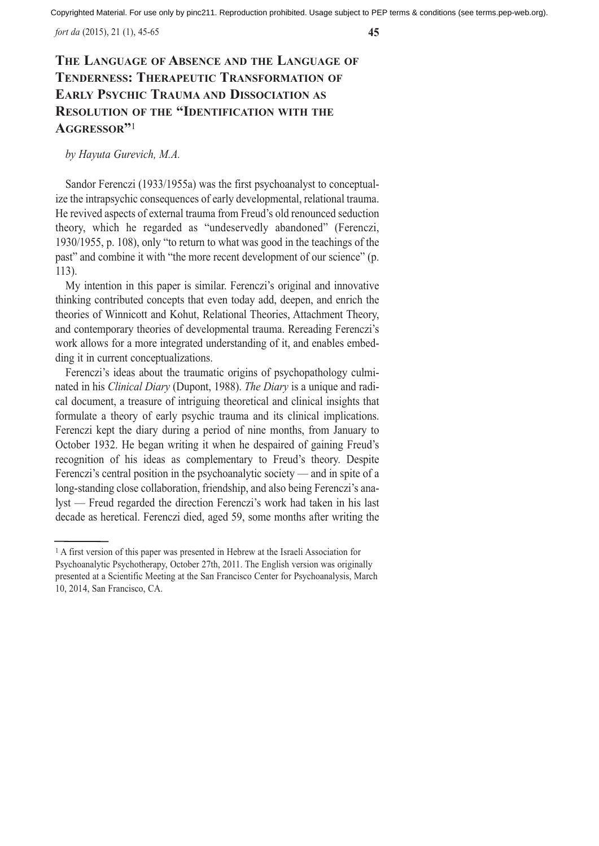*fort da* (2015), 21 (1), 45-65 **45**

# **THE LANGUAGE OF ABSENCE AND THE LANGUAGE OF TENDERNESS: THERAPEUTIC TRANSFORMATION OF EARLY PSYCHIC TRAUMA AND DISSOCIATION AS RESOLUTION OF THE "IDENTIFICATION WITH THE AGGRESSOR"**<sup>1</sup>

*by Hayuta Gurevich, M.A.*

Sandor Ferenczi (1933/1955a) was the first psychoanalyst to conceptualize the intrapsychic consequences of early developmental, relational trauma. He revived aspects of external trauma from Freud's old renounced seduction theory, which he regarded as "undeservedly abandoned" (Ferenczi, 1930/1955, p. 108), only "to return to what was good in the teachings of the past" and combine it with "the more recent development of our science" (p. 113).

My intention in this paper is similar. Ferenczi's original and innovative thinking contributed concepts that even today add, deepen, and enrich the theories of Winnicott and Kohut, Relational Theories, Attachment Theory, and contemporary theories of developmental trauma. Rereading Ferenczi's work allows for a more integrated understanding of it, and enables embedding it in current conceptualizations.

Ferenczi's ideas about the traumatic origins of psychopathology culminated in his *Clinical Diary* (Dupont, 1988). *The Diary* is a unique and radical document, a treasure of intriguing theoretical and clinical insights that formulate a theory of early psychic trauma and its clinical implications. Ferenczi kept the diary during a period of nine months, from January to October 1932. He began writing it when he despaired of gaining Freud's recognition of his ideas as complementary to Freud's theory. Despite Ferenczi's central position in the psychoanalytic society — and in spite of a long-standing close collaboration, friendship, and also being Ferenczi's analyst — Freud regarded the direction Ferenczi's work had taken in his last decade as heretical. Ferenczi died, aged 59, some months after writing the

<sup>1</sup> A first version of this paper was presented in Hebrew at the Israeli Association for Psychoanalytic Psychotherapy, October 27th, 2011. The English version was originally presented at a Scientific Meeting at the San Francisco Center for Psychoanalysis, March 10, 2014, San Francisco, CA.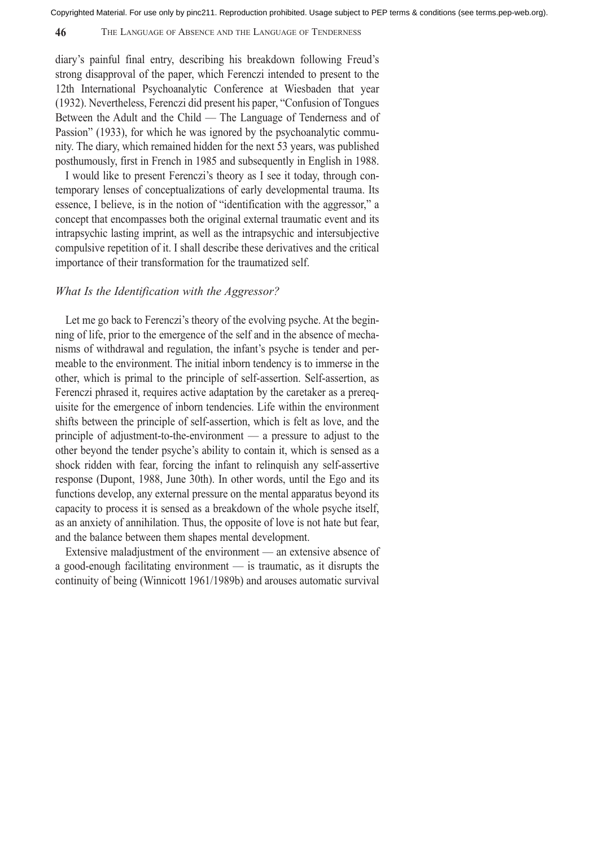## **46** THE LANGUAGE OF ABSENCE AND THE LANGUAGE OF TENDERNESS

diary's painful final entry, describing his breakdown following Freud's strong disapproval of the paper, which Ferenczi intended to present to the 12th International Psychoanalytic Conference at Wiesbaden that year (1932). Nevertheless, Ferenczi did present his paper, "Confusion of Tongues Between the Adult and the Child — The Language of Tenderness and of Passion" (1933), for which he was ignored by the psychoanalytic community. The diary, which remained hidden for the next 53 years, was published posthumously, first in French in 1985 and subsequently in English in 1988.

I would like to present Ferenczi's theory as I see it today, through contemporary lenses of conceptualizations of early developmental trauma. Its essence, I believe, is in the notion of "identification with the aggressor," a concept that encompasses both the original external traumatic event and its intrapsychic lasting imprint, as well as the intrapsychic and intersubjective compulsive repetition of it. I shall describe these derivatives and the critical importance of their transformation for the traumatized self.

## *What Is the Identification with the Aggressor?*

Let me go back to Ferenczi's theory of the evolving psyche. At the beginning of life, prior to the emergence of the self and in the absence of mechanisms of withdrawal and regulation, the infant's psyche is tender and permeable to the environment. The initial inborn tendency is to immerse in the other, which is primal to the principle of self-assertion. Self-assertion, as Ferenczi phrased it, requires active adaptation by the caretaker as a prerequisite for the emergence of inborn tendencies. Life within the environment shifts between the principle of self-assertion, which is felt as love, and the principle of adjustment-to-the-environment — a pressure to adjust to the other beyond the tender psyche's ability to contain it, which is sensed as a shock ridden with fear, forcing the infant to relinquish any self-assertive response (Dupont, 1988, June 30th). In other words, until the Ego and its functions develop, any external pressure on the mental apparatus beyond its capacity to process it is sensed as a breakdown of the whole psyche itself, as an anxiety of annihilation. Thus, the opposite of love is not hate but fear, and the balance between them shapes mental development.

Extensive maladjustment of the environment — an extensive absence of a good-enough facilitating environment — is traumatic, as it disrupts the continuity of being (Winnicott 1961/1989b) and arouses automatic survival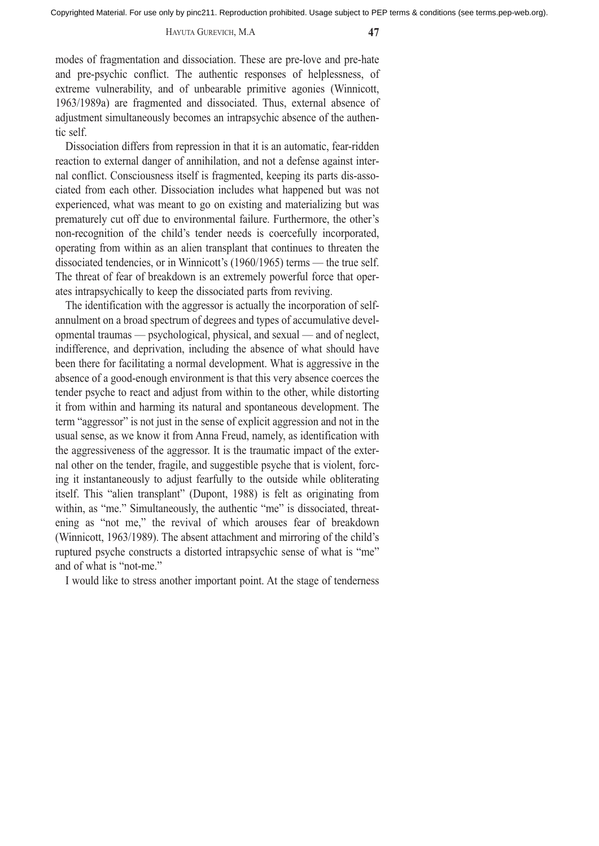#### HAYUTA GUREVICH, M.A **47**

modes of fragmentation and dissociation. These are pre-love and pre-hate and pre-psychic conflict. The authentic responses of helplessness, of extreme vulnerability, and of unbearable primitive agonies (Winnicott, 1963/1989a) are fragmented and dissociated. Thus, external absence of adjustment simultaneously becomes an intrapsychic absence of the authentic self.

Dissociation differs from repression in that it is an automatic, fear-ridden reaction to external danger of annihilation, and not a defense against internal conflict. Consciousness itself is fragmented, keeping its parts dis-associated from each other. Dissociation includes what happened but was not experienced, what was meant to go on existing and materializing but was prematurely cut off due to environmental failure. Furthermore, the other's non-recognition of the child's tender needs is coercefully incorporated, operating from within as an alien transplant that continues to threaten the dissociated tendencies, or in Winnicott's (1960/1965) terms — the true self. The threat of fear of breakdown is an extremely powerful force that operates intrapsychically to keep the dissociated parts from reviving.

The identification with the aggressor is actually the incorporation of selfannulment on a broad spectrum of degrees and types of accumulative developmental traumas — psychological, physical, and sexual — and of neglect, indifference, and deprivation, including the absence of what should have been there for facilitating a normal development. What is aggressive in the absence of a good-enough environment is that this very absence coerces the tender psyche to react and adjust from within to the other, while distorting it from within and harming its natural and spontaneous development. The term "aggressor" is not just in the sense of explicit aggression and not in the usual sense, as we know it from Anna Freud, namely, as identification with the aggressiveness of the aggressor. It is the traumatic impact of the external other on the tender, fragile, and suggestible psyche that is violent, forcing it instantaneously to adjust fearfully to the outside while obliterating itself. This "alien transplant" (Dupont, 1988) is felt as originating from within, as "me." Simultaneously, the authentic "me" is dissociated, threatening as "not me," the revival of which arouses fear of breakdown (Winnicott, 1963/1989). The absent attachment and mirroring of the child's ruptured psyche constructs a distorted intrapsychic sense of what is "me" and of what is "not-me."

I would like to stress another important point. At the stage of tenderness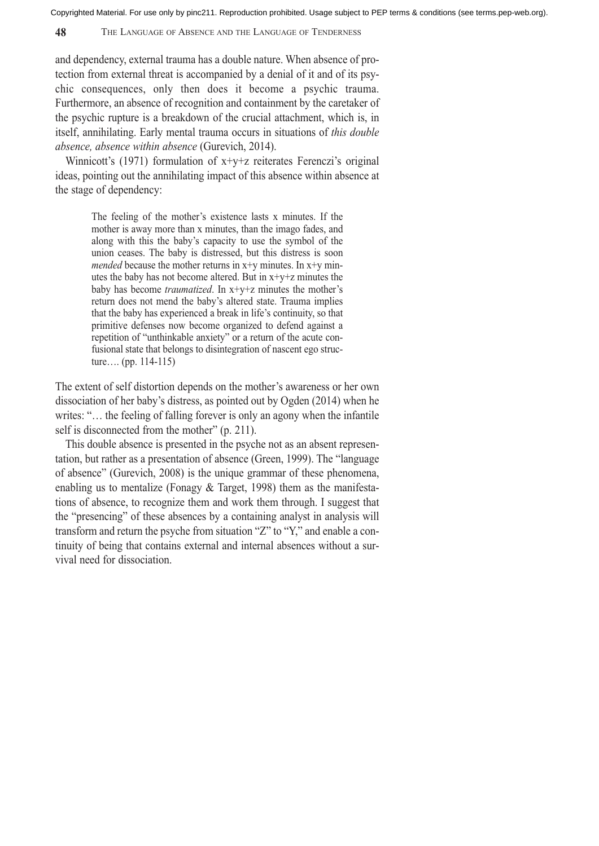### **48** THE LANGUAGE OF ABSENCE AND THE LANGUAGE OF TENDERNESS

and dependency, external trauma has a double nature. When absence of protection from external threat is accompanied by a denial of it and of its psychic consequences, only then does it become a psychic trauma. Furthermore, an absence of recognition and containment by the caretaker of the psychic rupture is a breakdown of the crucial attachment, which is, in itself, annihilating. Early mental trauma occurs in situations of *this double absence, absence within absence* (Gurevich, 2014).

Winnicott's (1971) formulation of  $x+y+z$  reiterates Ferenczi's original ideas, pointing out the annihilating impact of this absence within absence at the stage of dependency:

> The feeling of the mother's existence lasts x minutes. If the mother is away more than x minutes, than the imago fades, and along with this the baby's capacity to use the symbol of the union ceases. The baby is distressed, but this distress is soon *mended* because the mother returns in  $x+y$  minutes. In  $x+y$  minutes the baby has not become altered. But in x+y+z minutes the baby has become *traumatized*. In x+y+z minutes the mother's return does not mend the baby's altered state. Trauma implies that the baby has experienced a break in life's continuity, so that primitive defenses now become organized to defend against a repetition of "unthinkable anxiety" or a return of the acute confusional state that belongs to disintegration of nascent ego structure…. (pp. 114-115)

The extent of self distortion depends on the mother's awareness or her own dissociation of her baby's distress, as pointed out by Ogden (2014) when he writes: "... the feeling of falling forever is only an agony when the infantile self is disconnected from the mother" (p. 211).

This double absence is presented in the psyche not as an absent representation, but rather as a presentation of absence (Green, 1999). The "language of absence" (Gurevich, 2008) is the unique grammar of these phenomena, enabling us to mentalize (Fonagy  $&$  Target, 1998) them as the manifestations of absence, to recognize them and work them through. I suggest that the "presencing" of these absences by a containing analyst in analysis will transform and return the psyche from situation "Z" to "Y," and enable a continuity of being that contains external and internal absences without a survival need for dissociation.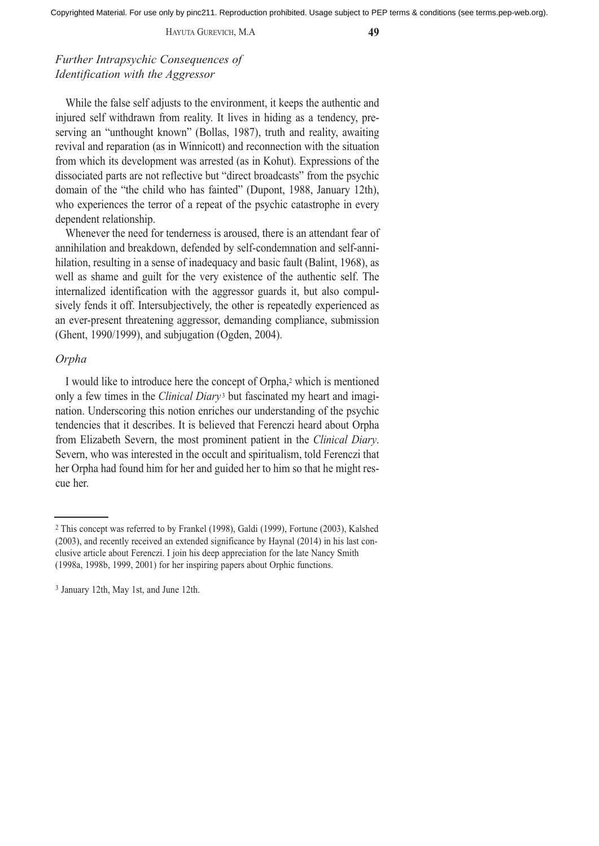HAYUTA GUREVICH, M.A **49**

*Further Intrapsychic Consequences of Identification with the Aggressor*

While the false self adjusts to the environment, it keeps the authentic and injured self withdrawn from reality. It lives in hiding as a tendency, preserving an "unthought known" (Bollas, 1987), truth and reality, awaiting revival and reparation (as in Winnicott) and reconnection with the situation from which its development was arrested (as in Kohut). Expressions of the dissociated parts are not reflective but "direct broadcasts" from the psychic domain of the "the child who has fainted" (Dupont, 1988, January 12th), who experiences the terror of a repeat of the psychic catastrophe in every dependent relationship.

Whenever the need for tenderness is aroused, there is an attendant fear of annihilation and breakdown, defended by self-condemnation and self-annihilation, resulting in a sense of inadequacy and basic fault (Balint, 1968), as well as shame and guilt for the very existence of the authentic self. The internalized identification with the aggressor guards it, but also compulsively fends it off. Intersubjectively, the other is repeatedly experienced as an ever-present threatening aggressor, demanding compliance, submission (Ghent, 1990/1999), and subjugation (Ogden, 2004).

## *Orpha*

I would like to introduce here the concept of Orpha,2 which is mentioned only a few times in the *Clinical Diary* <sup>3</sup> but fascinated my heart and imagination. Underscoring this notion enriches our understanding of the psychic tendencies that it describes. It is believed that Ferenczi heard about Orpha from Elizabeth Severn, the most prominent patient in the *Clinical Diary*. Severn, who was interested in the occult and spiritualism, told Ferenczi that her Orpha had found him for her and guided her to him so that he might rescue her.

<sup>2</sup> This concept was referred to by Frankel (1998), Galdi (1999), Fortune (2003), Kalshed (2003), and recently received an extended significance by Haynal (2014) in his last conclusive article about Ferenczi. I join his deep appreciation for the late Nancy Smith (1998a, 1998b, 1999, 2001) for her inspiring papers about Orphic functions.

<sup>3</sup> January 12th, May 1st, and June 12th.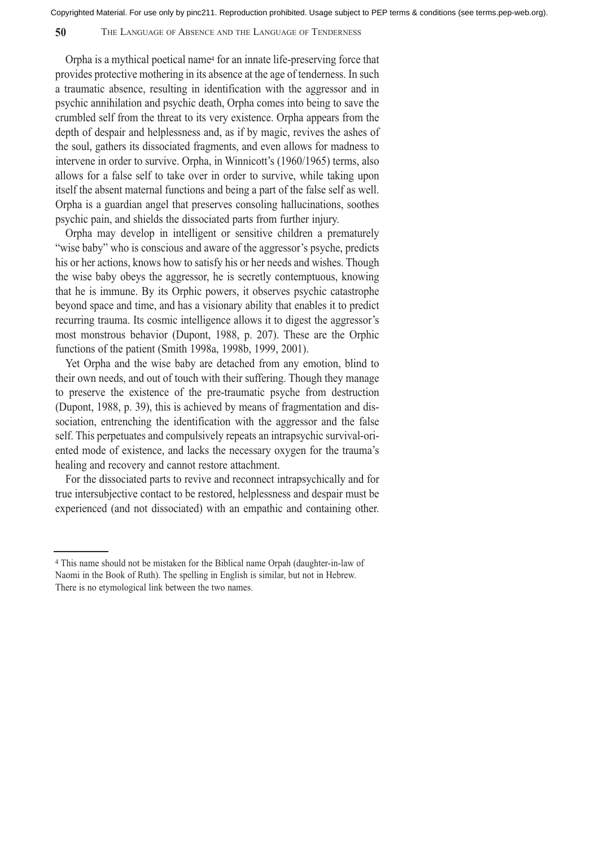## **50** THE LANGUAGE OF ABSENCE AND THE LANGUAGE OF TENDERNESS

Orpha is a mythical poetical name4 for an innate life-preserving force that provides protective mothering in its absence at the age of tenderness. In such a traumatic absence, resulting in identification with the aggressor and in psychic annihilation and psychic death, Orpha comes into being to save the crumbled self from the threat to its very existence. Orpha appears from the depth of despair and helplessness and, as if by magic, revives the ashes of the soul, gathers its dissociated fragments, and even allows for madness to intervene in order to survive. Orpha, in Winnicott's (1960/1965) terms, also allows for a false self to take over in order to survive, while taking upon itself the absent maternal functions and being a part of the false self as well. Orpha is a guardian angel that preserves consoling hallucinations, soothes psychic pain, and shields the dissociated parts from further injury.

Orpha may develop in intelligent or sensitive children a prematurely "wise baby" who is conscious and aware of the aggressor's psyche, predicts his or her actions, knows how to satisfy his or her needs and wishes. Though the wise baby obeys the aggressor, he is secretly contemptuous, knowing that he is immune. By its Orphic powers, it observes psychic catastrophe beyond space and time, and has a visionary ability that enables it to predict recurring trauma. Its cosmic intelligence allows it to digest the aggressor's most monstrous behavior (Dupont, 1988, p. 207). These are the Orphic functions of the patient (Smith 1998a, 1998b, 1999, 2001).

Yet Orpha and the wise baby are detached from any emotion, blind to their own needs, and out of touch with their suffering. Though they manage to preserve the existence of the pre-traumatic psyche from destruction (Dupont, 1988, p. 39), this is achieved by means of fragmentation and dissociation, entrenching the identification with the aggressor and the false self. This perpetuates and compulsively repeats an intrapsychic survival-oriented mode of existence, and lacks the necessary oxygen for the trauma's healing and recovery and cannot restore attachment.

For the dissociated parts to revive and reconnect intrapsychically and for true intersubjective contact to be restored, helplessness and despair must be experienced (and not dissociated) with an empathic and containing other.

<sup>4</sup> This name should not be mistaken for the Biblical name Orpah (daughter-in-law of Naomi in the Book of Ruth). The spelling in English is similar, but not in Hebrew. There is no etymological link between the two names.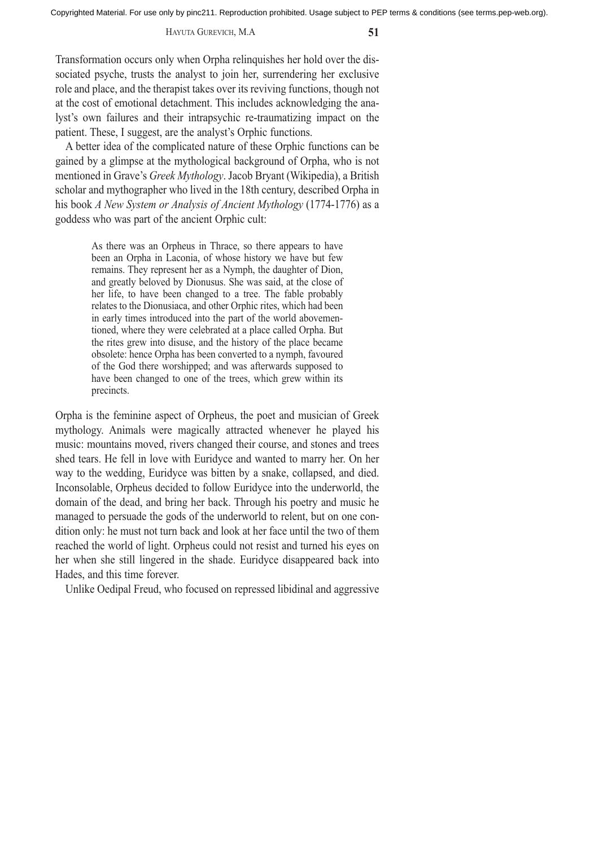## HAYUTA GUREVICH, M.A **51**

Transformation occurs only when Orpha relinquishes her hold over the dissociated psyche, trusts the analyst to join her, surrendering her exclusive role and place, and the therapist takes over its reviving functions, though not at the cost of emotional detachment. This includes acknowledging the analyst's own failures and their intrapsychic re-traumatizing impact on the patient. These, I suggest, are the analyst's Orphic functions.

A better idea of the complicated nature of these Orphic functions can be gained by a glimpse at the mythological background of Orpha, who is not mentioned in Grave's *Greek Mythology*. Jacob Bryant (Wikipedia), a British scholar and mythographer who lived in the 18th century, described Orpha in his book *A New System or Analysis of Ancient Mythology* (1774-1776) as a goddess who was part of the ancient Orphic cult:

> As there was an Orpheus in Thrace, so there appears to have been an Orpha in Laconia, of whose history we have but few remains. They represent her as a Nymph, the daughter of Dion, and greatly beloved by Dionusus. She was said, at the close of her life, to have been changed to a tree. The fable probably relates to the Dionusiaca, and other Orphic rites, which had been in early times introduced into the part of the world abovementioned, where they were celebrated at a place called Orpha. But the rites grew into disuse, and the history of the place became obsolete: hence Orpha has been converted to a nymph, favoured of the God there worshipped; and was afterwards supposed to have been changed to one of the trees, which grew within its precincts.

Orpha is the feminine aspect of Orpheus, the poet and musician of Greek mythology. Animals were magically attracted whenever he played his music: mountains moved, rivers changed their course, and stones and trees shed tears. He fell in love with Euridyce and wanted to marry her. On her way to the wedding, Euridyce was bitten by a snake, collapsed, and died. Inconsolable, Orpheus decided to follow Euridyce into the underworld, the domain of the dead, and bring her back. Through his poetry and music he managed to persuade the gods of the underworld to relent, but on one condition only: he must not turn back and look at her face until the two of them reached the world of light. Orpheus could not resist and turned his eyes on her when she still lingered in the shade. Euridyce disappeared back into Hades, and this time forever.

Unlike Oedipal Freud, who focused on repressed libidinal and aggressive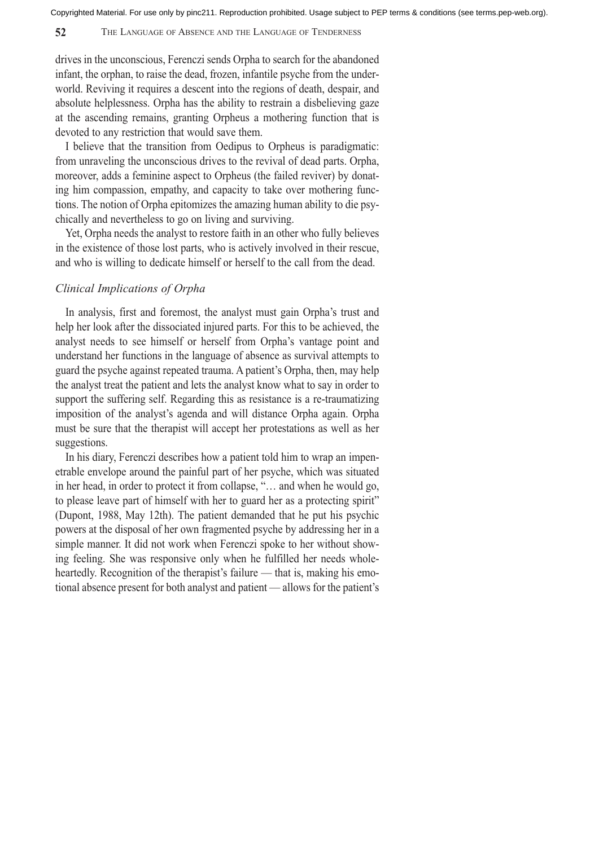## **52** THE LANGUAGE OF ABSENCE AND THE LANGUAGE OF TENDERNESS

drives in the unconscious, Ferenczi sends Orpha to search for the abandoned infant, the orphan, to raise the dead, frozen, infantile psyche from the underworld. Reviving it requires a descent into the regions of death, despair, and absolute helplessness. Orpha has the ability to restrain a disbelieving gaze at the ascending remains, granting Orpheus a mothering function that is devoted to any restriction that would save them.

I believe that the transition from Oedipus to Orpheus is paradigmatic: from unraveling the unconscious drives to the revival of dead parts. Orpha, moreover, adds a feminine aspect to Orpheus (the failed reviver) by donating him compassion, empathy, and capacity to take over mothering functions. The notion of Orpha epitomizes the amazing human ability to die psychically and nevertheless to go on living and surviving.

Yet, Orpha needs the analyst to restore faith in an other who fully believes in the existence of those lost parts, who is actively involved in their rescue, and who is willing to dedicate himself or herself to the call from the dead.

## *Clinical Implications of Orpha*

In analysis, first and foremost, the analyst must gain Orpha's trust and help her look after the dissociated injured parts. For this to be achieved, the analyst needs to see himself or herself from Orpha's vantage point and understand her functions in the language of absence as survival attempts to guard the psyche against repeated trauma. A patient's Orpha, then, may help the analyst treat the patient and lets the analyst know what to say in order to support the suffering self. Regarding this as resistance is a re-traumatizing imposition of the analyst's agenda and will distance Orpha again. Orpha must be sure that the therapist will accept her protestations as well as her suggestions.

In his diary, Ferenczi describes how a patient told him to wrap an impenetrable envelope around the painful part of her psyche, which was situated in her head, in order to protect it from collapse, "… and when he would go, to please leave part of himself with her to guard her as a protecting spirit" (Dupont, 1988, May 12th). The patient demanded that he put his psychic powers at the disposal of her own fragmented psyche by addressing her in a simple manner. It did not work when Ferenczi spoke to her without showing feeling. She was responsive only when he fulfilled her needs wholeheartedly. Recognition of the therapist's failure — that is, making his emotional absence present for both analyst and patient — allows for the patient's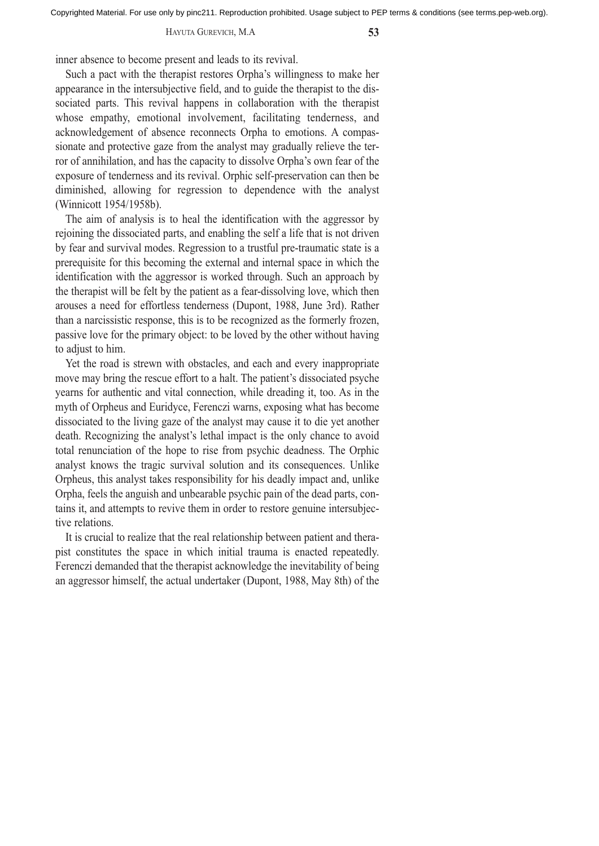#### HAYUTA GUREVICH, M.A **53**

inner absence to become present and leads to its revival.

Such a pact with the therapist restores Orpha's willingness to make her appearance in the intersubjective field, and to guide the therapist to the dissociated parts. This revival happens in collaboration with the therapist whose empathy, emotional involvement, facilitating tenderness, and acknowledgement of absence reconnects Orpha to emotions. A compassionate and protective gaze from the analyst may gradually relieve the terror of annihilation, and has the capacity to dissolve Orpha's own fear of the exposure of tenderness and its revival. Orphic self-preservation can then be diminished, allowing for regression to dependence with the analyst (Winnicott 1954/1958b).

The aim of analysis is to heal the identification with the aggressor by rejoining the dissociated parts, and enabling the self a life that is not driven by fear and survival modes. Regression to a trustful pre-traumatic state is a prerequisite for this becoming the external and internal space in which the identification with the aggressor is worked through. Such an approach by the therapist will be felt by the patient as a fear-dissolving love, which then arouses a need for effortless tenderness (Dupont, 1988, June 3rd). Rather than a narcissistic response, this is to be recognized as the formerly frozen, passive love for the primary object: to be loved by the other without having to adjust to him.

Yet the road is strewn with obstacles, and each and every inappropriate move may bring the rescue effort to a halt. The patient's dissociated psyche yearns for authentic and vital connection, while dreading it, too. As in the myth of Orpheus and Euridyce, Ferenczi warns, exposing what has become dissociated to the living gaze of the analyst may cause it to die yet another death. Recognizing the analyst's lethal impact is the only chance to avoid total renunciation of the hope to rise from psychic deadness. The Orphic analyst knows the tragic survival solution and its consequences. Unlike Orpheus, this analyst takes responsibility for his deadly impact and, unlike Orpha, feels the anguish and unbearable psychic pain of the dead parts, contains it, and attempts to revive them in order to restore genuine intersubjective relations.

It is crucial to realize that the real relationship between patient and therapist constitutes the space in which initial trauma is enacted repeatedly. Ferenczi demanded that the therapist acknowledge the inevitability of being an aggressor himself, the actual undertaker (Dupont, 1988, May 8th) of the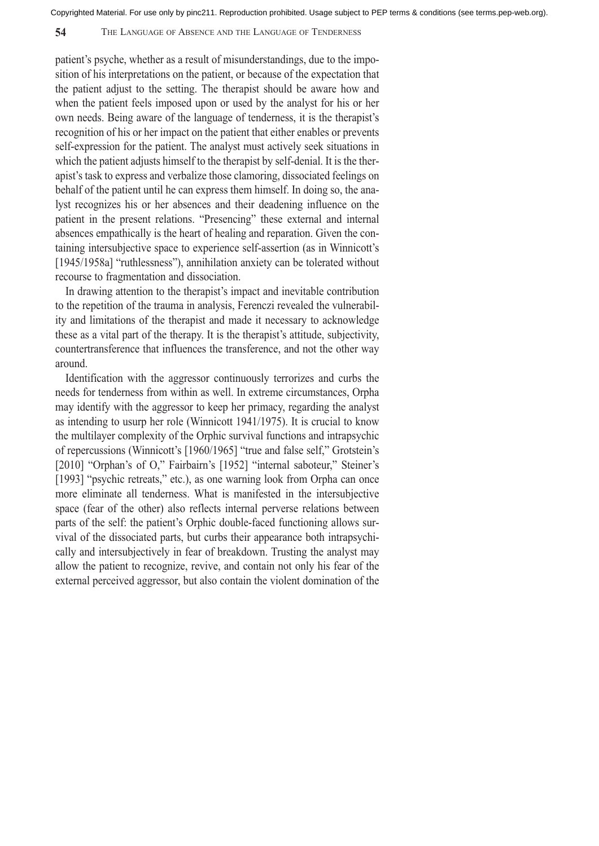## **54** THE LANGUAGE OF ABSENCE AND THE LANGUAGE OF TENDERNESS

patient's psyche, whether as a result of misunderstandings, due to the imposition of his interpretations on the patient, or because of the expectation that the patient adjust to the setting. The therapist should be aware how and when the patient feels imposed upon or used by the analyst for his or her own needs. Being aware of the language of tenderness, it is the therapist's recognition of his or her impact on the patient that either enables or prevents self-expression for the patient. The analyst must actively seek situations in which the patient adjusts himself to the therapist by self-denial. It is the therapist's task to express and verbalize those clamoring, dissociated feelings on behalf of the patient until he can express them himself. In doing so, the analyst recognizes his or her absences and their deadening influence on the patient in the present relations. "Presencing" these external and internal absences empathically is the heart of healing and reparation. Given the containing intersubjective space to experience self-assertion (as in Winnicott's [1945/1958a] "ruthlessness"), annihilation anxiety can be tolerated without recourse to fragmentation and dissociation.

In drawing attention to the therapist's impact and inevitable contribution to the repetition of the trauma in analysis, Ferenczi revealed the vulnerability and limitations of the therapist and made it necessary to acknowledge these as a vital part of the therapy. It is the therapist's attitude, subjectivity, countertransference that influences the transference, and not the other way around.

Identification with the aggressor continuously terrorizes and curbs the needs for tenderness from within as well. In extreme circumstances, Orpha may identify with the aggressor to keep her primacy, regarding the analyst as intending to usurp her role (Winnicott 1941/1975). It is crucial to know the multilayer complexity of the Orphic survival functions and intrapsychic of repercussions (Winnicott's [1960/1965] "true and false self," Grotstein's [2010] "Orphan's of O," Fairbairn's [1952] "internal saboteur," Steiner's [1993] "psychic retreats," etc.), as one warning look from Orpha can once more eliminate all tenderness. What is manifested in the intersubjective space (fear of the other) also reflects internal perverse relations between parts of the self: the patient's Orphic double-faced functioning allows survival of the dissociated parts, but curbs their appearance both intrapsychically and intersubjectively in fear of breakdown. Trusting the analyst may allow the patient to recognize, revive, and contain not only his fear of the external perceived aggressor, but also contain the violent domination of the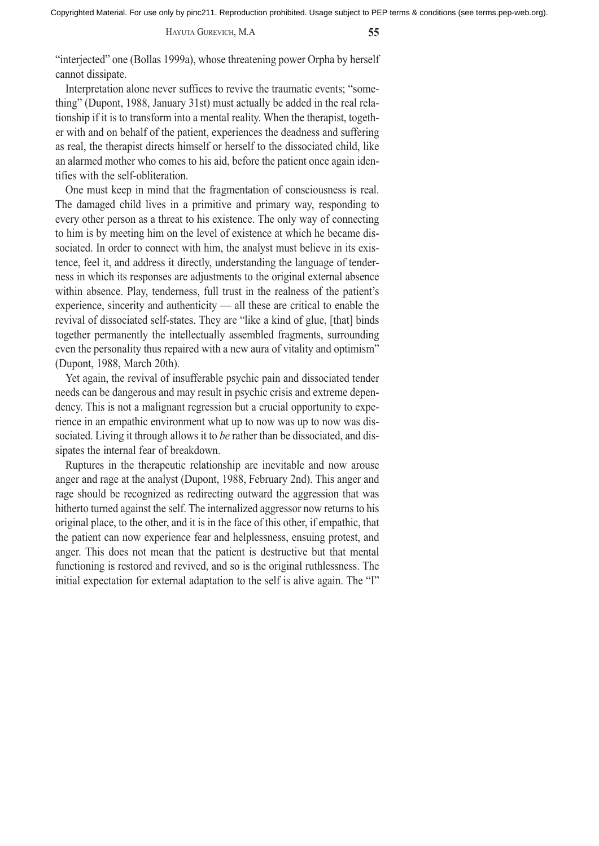HAYUTA GUREVICH, M.A **55**

"interjected" one (Bollas 1999a), whose threatening power Orpha by herself cannot dissipate.

Interpretation alone never suffices to revive the traumatic events; "something" (Dupont, 1988, January 31st) must actually be added in the real relationship if it is to transform into a mental reality. When the therapist, together with and on behalf of the patient, experiences the deadness and suffering as real, the therapist directs himself or herself to the dissociated child, like an alarmed mother who comes to his aid, before the patient once again identifies with the self-obliteration.

One must keep in mind that the fragmentation of consciousness is real. The damaged child lives in a primitive and primary way, responding to every other person as a threat to his existence. The only way of connecting to him is by meeting him on the level of existence at which he became dissociated. In order to connect with him, the analyst must believe in its existence, feel it, and address it directly, understanding the language of tenderness in which its responses are adjustments to the original external absence within absence. Play, tenderness, full trust in the realness of the patient's experience, sincerity and authenticity — all these are critical to enable the revival of dissociated self-states. They are "like a kind of glue, [that] binds together permanently the intellectually assembled fragments, surrounding even the personality thus repaired with a new aura of vitality and optimism" (Dupont, 1988, March 20th).

Yet again, the revival of insufferable psychic pain and dissociated tender needs can be dangerous and may result in psychic crisis and extreme dependency. This is not a malignant regression but a crucial opportunity to experience in an empathic environment what up to now was up to now was dissociated. Living it through allows it to *be* rather than be dissociated, and dissipates the internal fear of breakdown.

Ruptures in the therapeutic relationship are inevitable and now arouse anger and rage at the analyst (Dupont, 1988, February 2nd). This anger and rage should be recognized as redirecting outward the aggression that was hitherto turned against the self. The internalized aggressor now returns to his original place, to the other, and it is in the face of this other, if empathic, that the patient can now experience fear and helplessness, ensuing protest, and anger. This does not mean that the patient is destructive but that mental functioning is restored and revived, and so is the original ruthlessness. The initial expectation for external adaptation to the self is alive again. The "I"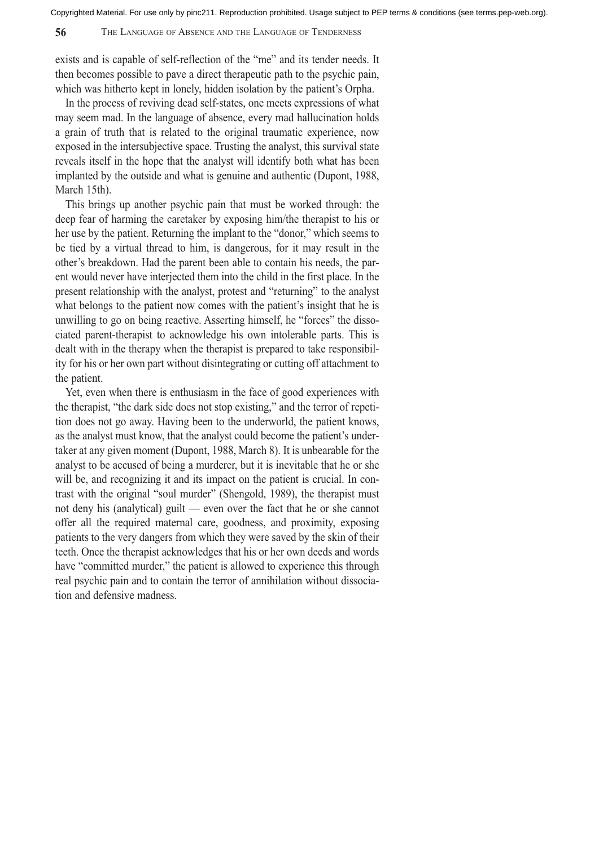exists and is capable of self-reflection of the "me" and its tender needs. It then becomes possible to pave a direct therapeutic path to the psychic pain, which was hitherto kept in lonely, hidden isolation by the patient's Orpha.

In the process of reviving dead self-states, one meets expressions of what may seem mad. In the language of absence, every mad hallucination holds a grain of truth that is related to the original traumatic experience, now exposed in the intersubjective space. Trusting the analyst, this survival state reveals itself in the hope that the analyst will identify both what has been implanted by the outside and what is genuine and authentic (Dupont, 1988, March 15th).

This brings up another psychic pain that must be worked through: the deep fear of harming the caretaker by exposing him/the therapist to his or her use by the patient. Returning the implant to the "donor," which seems to be tied by a virtual thread to him, is dangerous, for it may result in the other's breakdown. Had the parent been able to contain his needs, the parent would never have interjected them into the child in the first place. In the present relationship with the analyst, protest and "returning" to the analyst what belongs to the patient now comes with the patient's insight that he is unwilling to go on being reactive. Asserting himself, he "forces" the dissociated parent-therapist to acknowledge his own intolerable parts. This is dealt with in the therapy when the therapist is prepared to take responsibility for his or her own part without disintegrating or cutting off attachment to the patient.

Yet, even when there is enthusiasm in the face of good experiences with the therapist, "the dark side does not stop existing," and the terror of repetition does not go away. Having been to the underworld, the patient knows, as the analyst must know, that the analyst could become the patient's undertaker at any given moment (Dupont, 1988, March 8). It is unbearable for the analyst to be accused of being a murderer, but it is inevitable that he or she will be, and recognizing it and its impact on the patient is crucial. In contrast with the original "soul murder" (Shengold, 1989), the therapist must not deny his (analytical) guilt — even over the fact that he or she cannot offer all the required maternal care, goodness, and proximity, exposing patients to the very dangers from which they were saved by the skin of their teeth. Once the therapist acknowledges that his or her own deeds and words have "committed murder," the patient is allowed to experience this through real psychic pain and to contain the terror of annihilation without dissociation and defensive madness.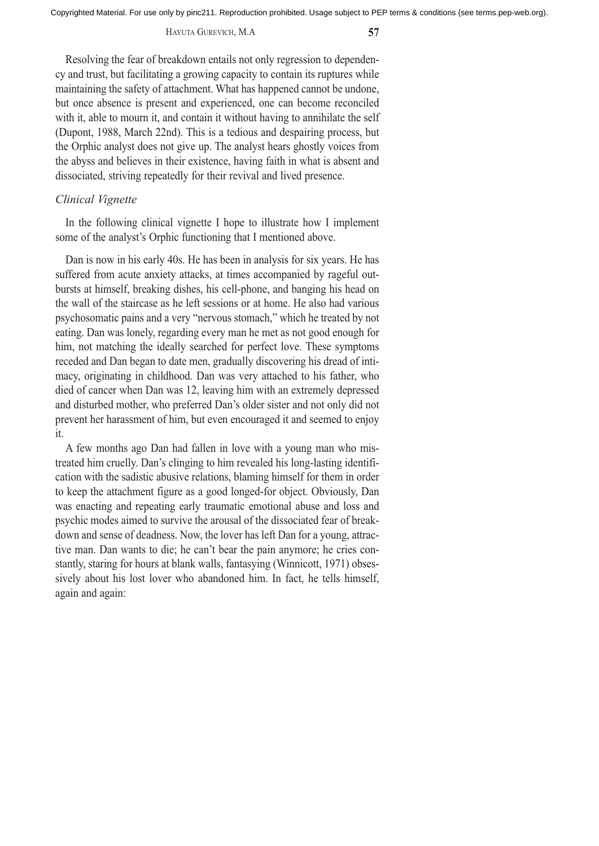#### HAYUTA GUREVICH, M.A **57**

Resolving the fear of breakdown entails not only regression to dependency and trust, but facilitating a growing capacity to contain its ruptures while maintaining the safety of attachment. What has happened cannot be undone, but once absence is present and experienced, one can become reconciled with it, able to mourn it, and contain it without having to annihilate the self (Dupont, 1988, March 22nd). This is a tedious and despairing process, but the Orphic analyst does not give up. The analyst hears ghostly voices from the abyss and believes in their existence, having faith in what is absent and dissociated, striving repeatedly for their revival and lived presence.

## *Clinical Vignette*

In the following clinical vignette I hope to illustrate how I implement some of the analyst's Orphic functioning that I mentioned above.

Dan is now in his early 40s. He has been in analysis for six years. He has suffered from acute anxiety attacks, at times accompanied by rageful outbursts at himself, breaking dishes, his cell-phone, and banging his head on the wall of the staircase as he left sessions or at home. He also had various psychosomatic pains and a very "nervous stomach," which he treated by not eating. Dan was lonely, regarding every man he met as not good enough for him, not matching the ideally searched for perfect love. These symptoms receded and Dan began to date men, gradually discovering his dread of intimacy, originating in childhood. Dan was very attached to his father, who died of cancer when Dan was 12, leaving him with an extremely depressed and disturbed mother, who preferred Dan's older sister and not only did not prevent her harassment of him, but even encouraged it and seemed to enjoy it.

A few months ago Dan had fallen in love with a young man who mistreated him cruelly. Dan's clinging to him revealed his long-lasting identification with the sadistic abusive relations, blaming himself for them in order to keep the attachment figure as a good longed-for object. Obviously, Dan was enacting and repeating early traumatic emotional abuse and loss and psychic modes aimed to survive the arousal of the dissociated fear of breakdown and sense of deadness. Now, the lover has left Dan for a young, attractive man. Dan wants to die; he can't bear the pain anymore; he cries constantly, staring for hours at blank walls, fantasying (Winnicott, 1971) obsessively about his lost lover who abandoned him. In fact, he tells himself, again and again: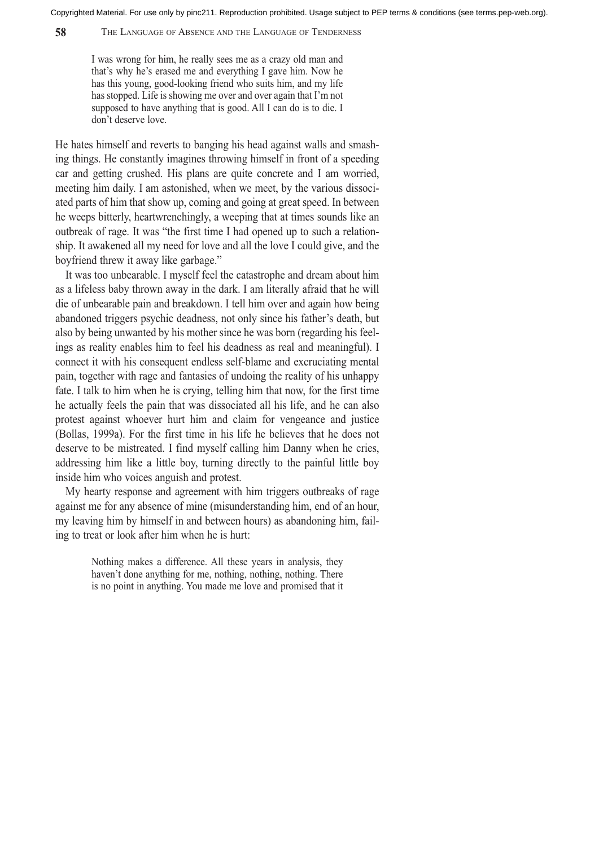**58** THE LANGUAGE OF ABSENCE AND THE LANGUAGE OF TENDERNESS

I was wrong for him, he really sees me as a crazy old man and that's why he's erased me and everything I gave him. Now he has this young, good-looking friend who suits him, and my life has stopped. Life is showing me over and over again that I'm not supposed to have anything that is good. All I can do is to die. I don't deserve love.

He hates himself and reverts to banging his head against walls and smashing things. He constantly imagines throwing himself in front of a speeding car and getting crushed. His plans are quite concrete and I am worried, meeting him daily. I am astonished, when we meet, by the various dissociated parts of him that show up, coming and going at great speed. In between he weeps bitterly, heartwrenchingly, a weeping that at times sounds like an outbreak of rage. It was "the first time I had opened up to such a relationship. It awakened all my need for love and all the love I could give, and the boyfriend threw it away like garbage."

It was too unbearable. I myself feel the catastrophe and dream about him as a lifeless baby thrown away in the dark. I am literally afraid that he will die of unbearable pain and breakdown. I tell him over and again how being abandoned triggers psychic deadness, not only since his father's death, but also by being unwanted by his mother since he was born (regarding his feelings as reality enables him to feel his deadness as real and meaningful). I connect it with his consequent endless self-blame and excruciating mental pain, together with rage and fantasies of undoing the reality of his unhappy fate. I talk to him when he is crying, telling him that now, for the first time he actually feels the pain that was dissociated all his life, and he can also protest against whoever hurt him and claim for vengeance and justice (Bollas, 1999a). For the first time in his life he believes that he does not deserve to be mistreated. I find myself calling him Danny when he cries, addressing him like a little boy, turning directly to the painful little boy inside him who voices anguish and protest.

My hearty response and agreement with him triggers outbreaks of rage against me for any absence of mine (misunderstanding him, end of an hour, my leaving him by himself in and between hours) as abandoning him, failing to treat or look after him when he is hurt:

> Nothing makes a difference. All these years in analysis, they haven't done anything for me, nothing, nothing, nothing. There is no point in anything. You made me love and promised that it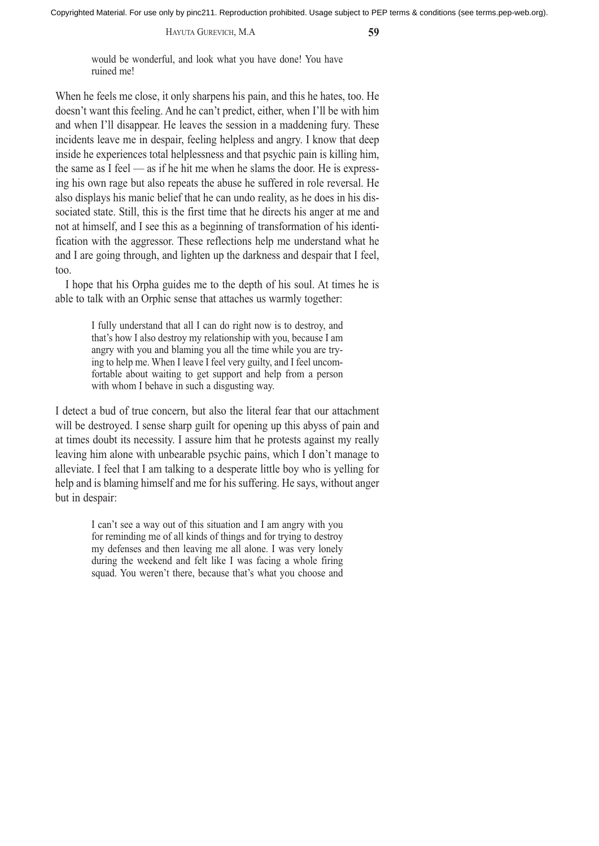HAYUTA GUREVICH, M.A **59**

would be wonderful, and look what you have done! You have ruined me!

When he feels me close, it only sharpens his pain, and this he hates, too. He doesn't want this feeling. And he can't predict, either, when I'll be with him and when I'll disappear. He leaves the session in a maddening fury. These incidents leave me in despair, feeling helpless and angry. I know that deep inside he experiences total helplessness and that psychic pain is killing him, the same as I feel — as if he hit me when he slams the door. He is expressing his own rage but also repeats the abuse he suffered in role reversal. He also displays his manic belief that he can undo reality, as he does in his dissociated state. Still, this is the first time that he directs his anger at me and not at himself, and I see this as a beginning of transformation of his identification with the aggressor. These reflections help me understand what he and I are going through, and lighten up the darkness and despair that I feel, too.

I hope that his Orpha guides me to the depth of his soul. At times he is able to talk with an Orphic sense that attaches us warmly together:

> I fully understand that all I can do right now is to destroy, and that's how I also destroy my relationship with you, because I am angry with you and blaming you all the time while you are trying to help me. When I leave I feel very guilty, and I feel uncomfortable about waiting to get support and help from a person with whom I behave in such a disgusting way.

I detect a bud of true concern, but also the literal fear that our attachment will be destroyed. I sense sharp guilt for opening up this abyss of pain and at times doubt its necessity. I assure him that he protests against my really leaving him alone with unbearable psychic pains, which I don't manage to alleviate. I feel that I am talking to a desperate little boy who is yelling for help and is blaming himself and me for his suffering. He says, without anger but in despair:

> I can't see a way out of this situation and I am angry with you for reminding me of all kinds of things and for trying to destroy my defenses and then leaving me all alone. I was very lonely during the weekend and felt like I was facing a whole firing squad. You weren't there, because that's what you choose and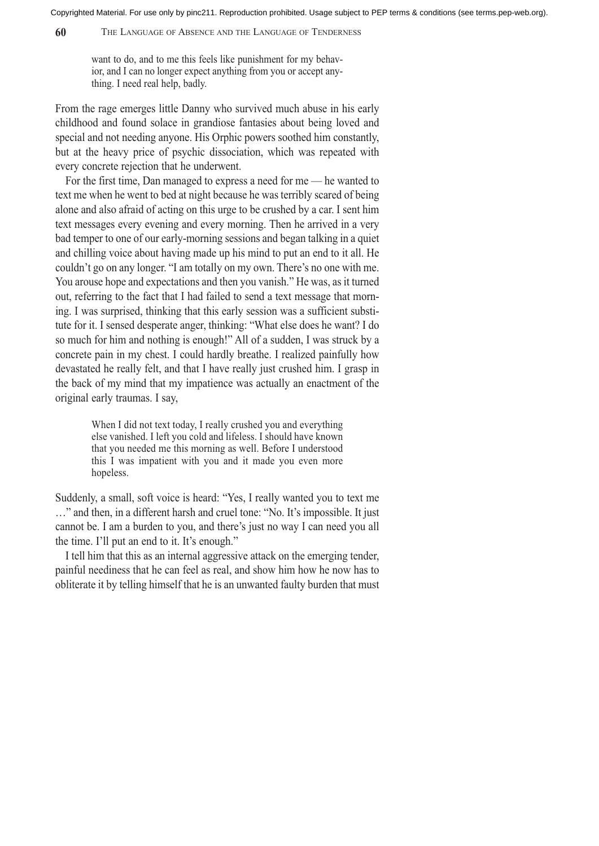**60** THE LANGUAGE OF ABSENCE AND THE LANGUAGE OF TENDERNESS

want to do, and to me this feels like punishment for my behavior, and I can no longer expect anything from you or accept anything. I need real help, badly.

From the rage emerges little Danny who survived much abuse in his early childhood and found solace in grandiose fantasies about being loved and special and not needing anyone. His Orphic powers soothed him constantly, but at the heavy price of psychic dissociation, which was repeated with every concrete rejection that he underwent.

For the first time, Dan managed to express a need for me — he wanted to text me when he went to bed at night because he was terribly scared of being alone and also afraid of acting on this urge to be crushed by a car. I sent him text messages every evening and every morning. Then he arrived in a very bad temper to one of our early-morning sessions and began talking in a quiet and chilling voice about having made up his mind to put an end to it all. He couldn't go on any longer. "I am totally on my own. There's no one with me. You arouse hope and expectations and then you vanish." He was, as it turned out, referring to the fact that I had failed to send a text message that morning. I was surprised, thinking that this early session was a sufficient substitute for it. I sensed desperate anger, thinking: "What else does he want? I do so much for him and nothing is enough!" All of a sudden, I was struck by a concrete pain in my chest. I could hardly breathe. I realized painfully how devastated he really felt, and that I have really just crushed him. I grasp in the back of my mind that my impatience was actually an enactment of the original early traumas. I say,

> When I did not text today, I really crushed you and everything else vanished. I left you cold and lifeless. I should have known that you needed me this morning as well. Before I understood this I was impatient with you and it made you even more hopeless.

Suddenly, a small, soft voice is heard: "Yes, I really wanted you to text me …" and then, in a different harsh and cruel tone: "No. It's impossible. It just cannot be. I am a burden to you, and there's just no way I can need you all the time. I'll put an end to it. It's enough."

I tell him that this as an internal aggressive attack on the emerging tender, painful neediness that he can feel as real, and show him how he now has to obliterate it by telling himself that he is an unwanted faulty burden that must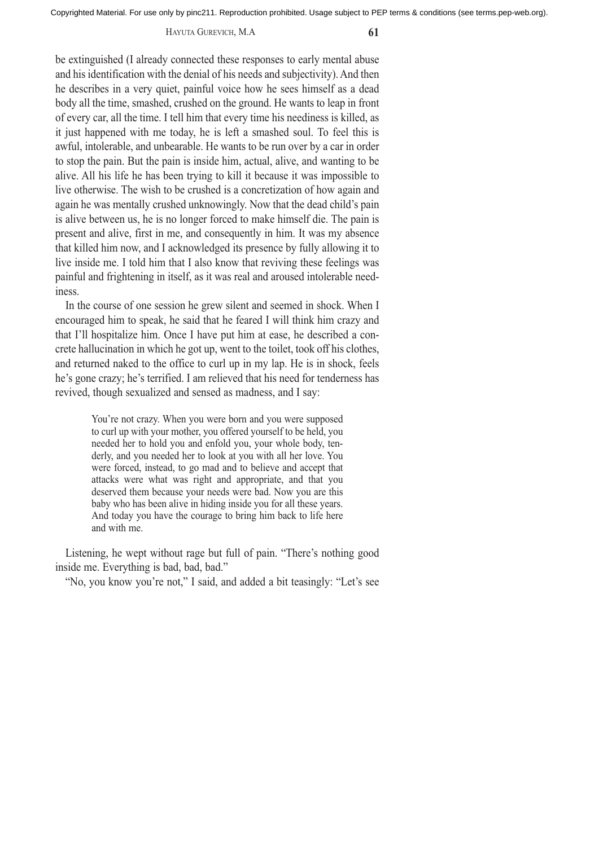#### HAYUTA GUREVICH, M.A **61**

be extinguished (I already connected these responses to early mental abuse and his identification with the denial of his needs and subjectivity). And then he describes in a very quiet, painful voice how he sees himself as a dead body all the time, smashed, crushed on the ground. He wants to leap in front of every car, all the time. I tell him that every time his neediness is killed, as it just happened with me today, he is left a smashed soul. To feel this is awful, intolerable, and unbearable. He wants to be run over by a car in order to stop the pain. But the pain is inside him, actual, alive, and wanting to be alive. All his life he has been trying to kill it because it was impossible to live otherwise. The wish to be crushed is a concretization of how again and again he was mentally crushed unknowingly. Now that the dead child's pain is alive between us, he is no longer forced to make himself die. The pain is present and alive, first in me, and consequently in him. It was my absence that killed him now, and I acknowledged its presence by fully allowing it to live inside me. I told him that I also know that reviving these feelings was painful and frightening in itself, as it was real and aroused intolerable neediness.

In the course of one session he grew silent and seemed in shock. When I encouraged him to speak, he said that he feared I will think him crazy and that I'll hospitalize him. Once I have put him at ease, he described a concrete hallucination in which he got up, went to the toilet, took off his clothes, and returned naked to the office to curl up in my lap. He is in shock, feels he's gone crazy; he's terrified. I am relieved that his need for tenderness has revived, though sexualized and sensed as madness, and I say:

> You're not crazy. When you were born and you were supposed to curl up with your mother, you offered yourself to be held, you needed her to hold you and enfold you, your whole body, tenderly, and you needed her to look at you with all her love. You were forced, instead, to go mad and to believe and accept that attacks were what was right and appropriate, and that you deserved them because your needs were bad. Now you are this baby who has been alive in hiding inside you for all these years. And today you have the courage to bring him back to life here and with me.

Listening, he wept without rage but full of pain. "There's nothing good inside me. Everything is bad, bad, bad."

"No, you know you're not," I said, and added a bit teasingly: "Let's see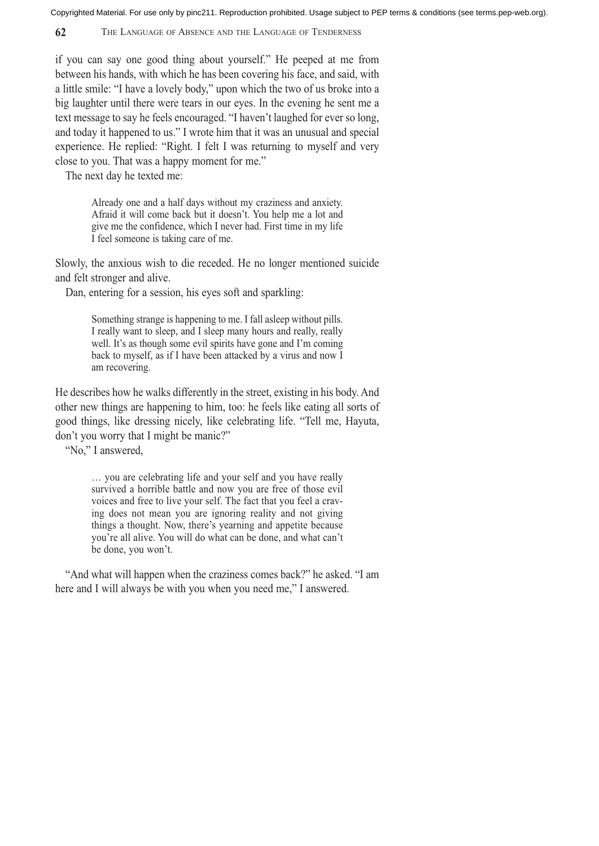**62** THE LANGUAGE OF ABSENCE AND THE LANGUAGE OF TENDERNESS

if you can say one good thing about yourself." He peeped at me from between his hands, with which he has been covering his face, and said, with a little smile: "I have a lovely body," upon which the two of us broke into a big laughter until there were tears in our eyes. In the evening he sent me a text message to say he feels encouraged. "I haven't laughed for ever so long, and today it happened to us." I wrote him that it was an unusual and special experience. He replied: "Right. I felt I was returning to myself and very close to you. That was a happy moment for me."

The next day he texted me:

Already one and a half days without my craziness and anxiety. Afraid it will come back but it doesn't. You help me a lot and give me the confidence, which I never had. First time in my life I feel someone is taking care of me.

Slowly, the anxious wish to die receded. He no longer mentioned suicide and felt stronger and alive.

Dan, entering for a session, his eyes soft and sparkling:

Something strange is happening to me. I fall asleep without pills. I really want to sleep, and I sleep many hours and really, really well. It's as though some evil spirits have gone and I'm coming back to myself, as if I have been attacked by a virus and now I am recovering.

He describes how he walks differently in the street, existing in his body. And other new things are happening to him, too: he feels like eating all sorts of good things, like dressing nicely, like celebrating life. "Tell me, Hayuta, don't you worry that I might be manic?"

"No," I answered,

… you are celebrating life and your self and you have really survived a horrible battle and now you are free of those evil voices and free to live your self. The fact that you feel a craving does not mean you are ignoring reality and not giving things a thought. Now, there's yearning and appetite because you're all alive. You will do what can be done, and what can't be done, you won't.

"And what will happen when the craziness comes back?" he asked. "I am here and I will always be with you when you need me," I answered.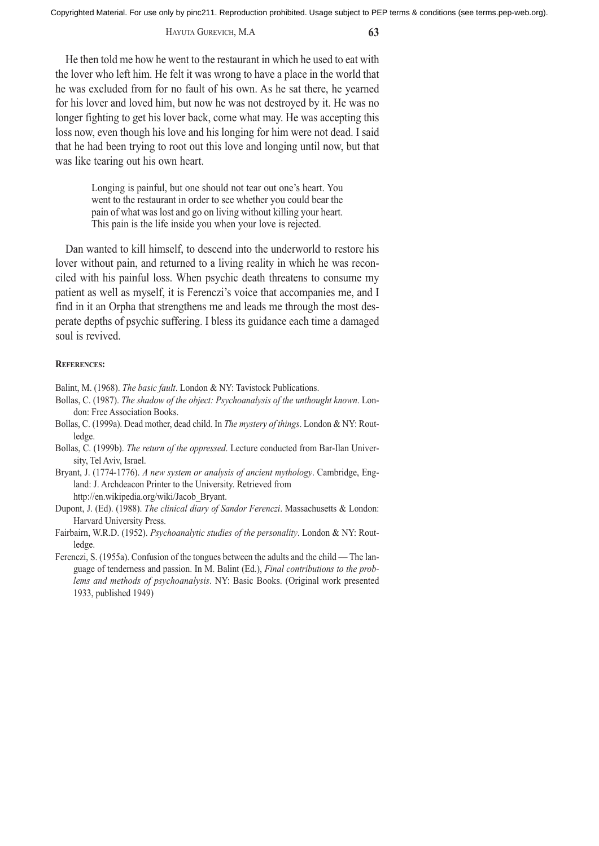#### HAYUTA GUREVICH, M.A **63**

He then told me how he went to the restaurant in which he used to eat with the lover who left him. He felt it was wrong to have a place in the world that he was excluded from for no fault of his own. As he sat there, he yearned for his lover and loved him, but now he was not destroyed by it. He was no longer fighting to get his lover back, come what may. He was accepting this loss now, even though his love and his longing for him were not dead. I said that he had been trying to root out this love and longing until now, but that was like tearing out his own heart.

> Longing is painful, but one should not tear out one's heart. You went to the restaurant in order to see whether you could bear the pain of what was lost and go on living without killing your heart. This pain is the life inside you when your love is rejected.

Dan wanted to kill himself, to descend into the underworld to restore his lover without pain, and returned to a living reality in which he was reconciled with his painful loss. When psychic death threatens to consume my patient as well as myself, it is Ferenczi's voice that accompanies me, and I find in it an Orpha that strengthens me and leads me through the most desperate depths of psychic suffering. I bless its guidance each time a damaged soul is revived.

## **REFERENCES:**

- Balint, M. (1968). *The basic fault*. London & NY: Tavistock Publications.
- Bollas, C. (1987). *The shadow of the object: Psychoanalysis of the unthought known*. London: Free Association Books.
- Bollas, C. (1999a). Dead mother, dead child. In *The mystery of things*. London & NY: Routledge.
- Bollas, C. (1999b). *The return of the oppressed*. Lecture conducted from Bar-Ilan University, Tel Aviv, Israel.
- Bryant, J. (1774-1776). *A new system or analysis of ancient mythology*. Cambridge, England: J. Archdeacon Printer to the University. Retrieved from http://en.wikipedia.org/wiki/Jacob\_Bryant.
- Dupont, J. (Ed). (1988). *The clinical diary of Sandor Ferenczi*. Massachusetts & London: Harvard University Press.
- Fairbairn, W.R.D. (1952). *Psychoanalytic studies of the personality*. London & NY: Routledge.
- Ferenczi, S. (1955a). Confusion of the tongues between the adults and the child The language of tenderness and passion. In M. Balint (Ed.), *Final contributions to the problems and methods of psychoanalysis*. NY: Basic Books. (Original work presented 1933, published 1949)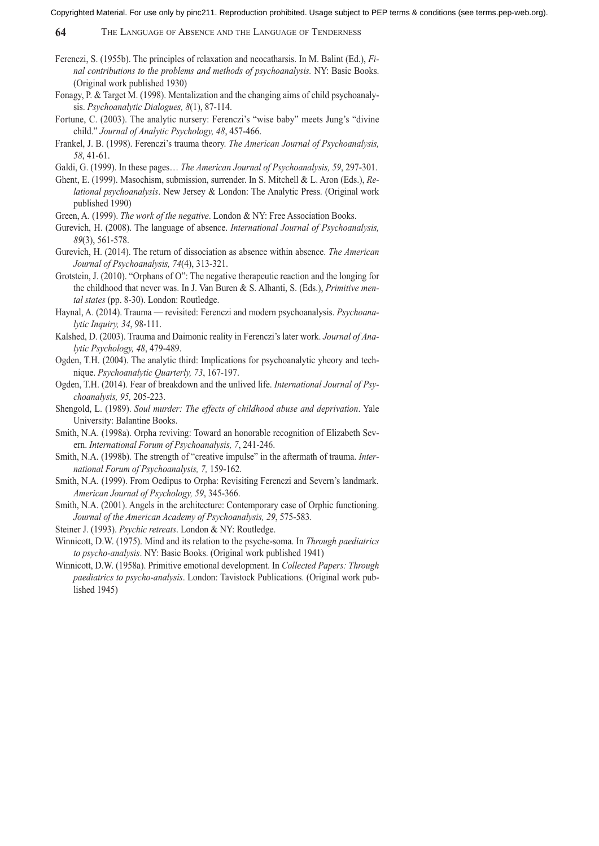- Ferenczi, S. (1955b). The principles of relaxation and neocatharsis. In M. Balint (Ed.), *Final contributions to the problems and methods of psychoanalysis.* NY: Basic Books. (Original work published 1930)
- Fonagy, P. & Target M. (1998). Mentalization and the changing aims of child psychoanalysis. *Psychoanalytic Dialogues, 8*(1), 87-114.
- Fortune, C. (2003). The analytic nursery: Ferenczi's "wise baby" meets Jung's "divine child." *Journal of Analytic Psychology, 48*, 457-466.
- Frankel, J. B. (1998). Ferenczi's trauma theory. *The American Journal of Psychoanalysis, 58*, 41-61.
- Galdi, G. (1999). In these pages… *The American Journal of Psychoanalysis, 59*, 297-301.
- Ghent, E. (1999). Masochism, submission, surrender. In S. Mitchell & L. Aron (Eds.), *Relational psychoanalysis*. New Jersey & London: The Analytic Press. (Original work published 1990)
- Green, A. (1999). *The work of the negative*. London & NY: Free Association Books.
- Gurevich, H. (2008). The language of absence. *International Journal of Psychoanalysis, 89*(3), 561-578.
- Gurevich, H. (2014). The return of dissociation as absence within absence. *The American Journal of Psychoanalysis, 74*(4), 313-321.
- Grotstein, J. (2010). "Orphans of O": The negative therapeutic reaction and the longing for the childhood that never was. In J. Van Buren & S. Alhanti, S. (Eds.), *Primitive mental states* (pp. 8-30). London: Routledge.
- Haynal, A. (2014). Trauma revisited: Ferenczi and modern psychoanalysis. *Psychoanalytic Inquiry, 34*, 98-111.
- Kalshed, D. (2003). Trauma and Daimonic reality in Ferenczi's later work. *Journal of Analytic Psychology, 48*, 479-489.
- Ogden, T.H. (2004). The analytic third: Implications for psychoanalytic yheory and technique. *Psychoanalytic Quarterly, 73*, 167-197.
- Ogden, T.H. (2014). Fear of breakdown and the unlived life. *International Journal of Psychoanalysis, 95,* 205-223.
- Shengold, L. (1989). *Soul murder: The effects of childhood abuse and deprivation*. Yale University: Balantine Books.
- Smith, N.A. (1998a). Orpha reviving: Toward an honorable recognition of Elizabeth Severn. *International Forum of Psychoanalysis, 7*, 241-246.
- Smith, N.A. (1998b). The strength of "creative impulse" in the aftermath of trauma. *International Forum of Psychoanalysis, 7,* 159-162.
- Smith, N.A. (1999). From Oedipus to Orpha: Revisiting Ferenczi and Severn's landmark. *American Journal of Psychology, 59*, 345-366.
- Smith, N.A. (2001). Angels in the architecture: Contemporary case of Orphic functioning. *Journal of the American Academy of Psychoanalysis, 29*, 575-583.

Steiner J. (1993). *Psychic retreats*. London & NY: Routledge.

- Winnicott, D.W. (1975). Mind and its relation to the psyche-soma. In *Through paediatrics to psycho-analysis*. NY: Basic Books. (Original work published 1941)
- Winnicott, D.W. (1958a). Primitive emotional development. In *Collected Papers: Through paediatrics to psycho-analysis*. London: Tavistock Publications. (Original work published 1945)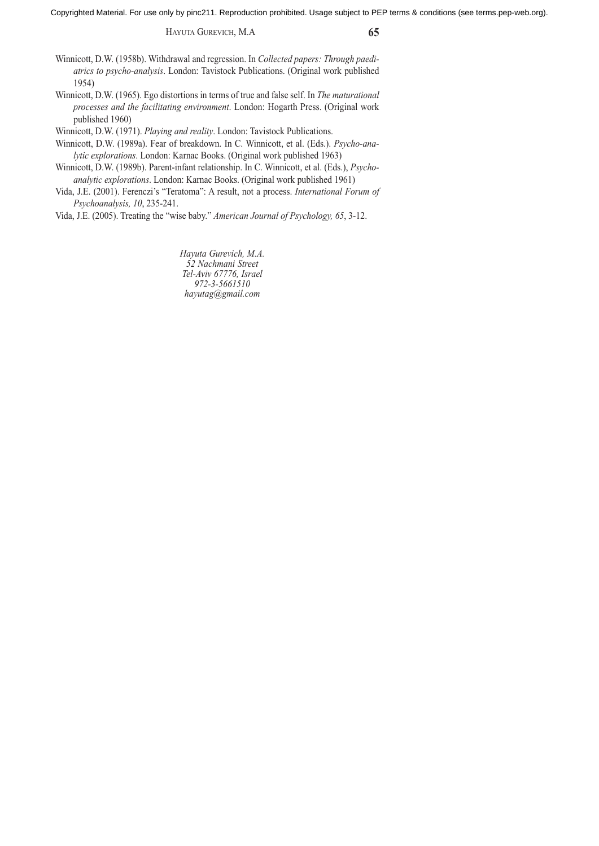HAYUTA GUREVICH, M.A **65**

Winnicott, D.W. (1958b). Withdrawal and regression. In *Collected papers: Through paediatrics to psycho-analysis*. London: Tavistock Publications. (Original work published 1954)

Winnicott, D.W. (1965). Ego distortions in terms of true and false self. In *The maturational processes and the facilitating environment*. London: Hogarth Press. (Original work published 1960)

Winnicott, D.W. (1971). *Playing and reality*. London: Tavistock Publications.

Winnicott, D.W. (1989a). Fear of breakdown. In C. Winnicott, et al. (Eds.). *Psycho-analytic explorations*. London: Karnac Books. (Original work published 1963)

Winnicott, D.W. (1989b). Parent-infant relationship. In C. Winnicott, et al. (Eds.), *Psychoanalytic explorations*. London: Karnac Books. (Original work published 1961)

Vida, J.E. (2001). Ferenczi's "Teratoma": A result, not a process. *International Forum of Psychoanalysis, 10*, 235-241.

Vida, J.E. (2005). Treating the "wise baby." *American Journal of Psychology, 65*, 3-12.

*Hayuta Gurevich, M.A. 52 Nachmani Street Tel-Aviv 67776, Israel 972-3-5661510 hayutag@gmail.com*